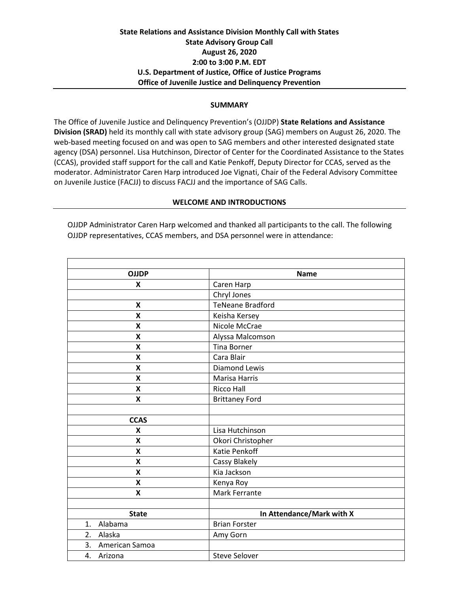### **State Relations and Assistance Division Monthly Call with States State Advisory Group Call August 26, 2020 2:00 to 3:00 P.M. EDT U.S. Department of Justice, Office of Justice Programs Office of Juvenile Justice and Delinquency Prevention**

#### **SUMMARY**

The Office of Juvenile Justice and Delinquency Prevention's (OJJDP) **State Relations and Assistance Division (SRAD)** held its monthly call with state advisory group (SAG) members on August 26, 2020. The web-based meeting focused on and was open to SAG members and other interested designated state agency (DSA) personnel. Lisa Hutchinson, Director of Center for the Coordinated Assistance to the States (CCAS), provided staff support for the call and Katie Penkoff, Deputy Director for CCAS, served as the moderator. Administrator Caren Harp introduced Joe Vignati, Chair of the Federal Advisory Committee on Juvenile Justice (FACJJ) to discuss FACJJ and the importance of SAG Calls.

#### **WELCOME AND INTRODUCTIONS**

OJJDP Administrator Caren Harp welcomed and thanked all participants to the call. The following OJJDP representatives, CCAS members, and DSA personnel were in attendance:

| <b>OJJDP</b>              | <b>Name</b>               |
|---------------------------|---------------------------|
| X                         | Caren Harp                |
|                           | Chryl Jones               |
| $\boldsymbol{\mathsf{x}}$ | <b>TeNeane Bradford</b>   |
| $\boldsymbol{\mathsf{X}}$ | Keisha Kersey             |
| X                         | Nicole McCrae             |
| X                         | Alyssa Malcomson          |
| X                         | <b>Tina Borner</b>        |
| X                         | Cara Blair                |
| X                         | <b>Diamond Lewis</b>      |
| X                         | Marisa Harris             |
| X                         | <b>Ricco Hall</b>         |
| X                         | <b>Brittaney Ford</b>     |
|                           |                           |
| <b>CCAS</b>               |                           |
| X                         | Lisa Hutchinson           |
| X                         | Okori Christopher         |
| X                         | Katie Penkoff             |
| X                         | Cassy Blakely             |
| X                         | Kia Jackson               |
| X                         | Kenya Roy                 |
| X                         | Mark Ferrante             |
|                           |                           |
| <b>State</b>              | In Attendance/Mark with X |
| Alabama<br>1.             | <b>Brian Forster</b>      |
| 2.<br>Alaska              | Amy Gorn                  |
| American Samoa<br>3.      |                           |
| 4.<br>Arizona             | <b>Steve Selover</b>      |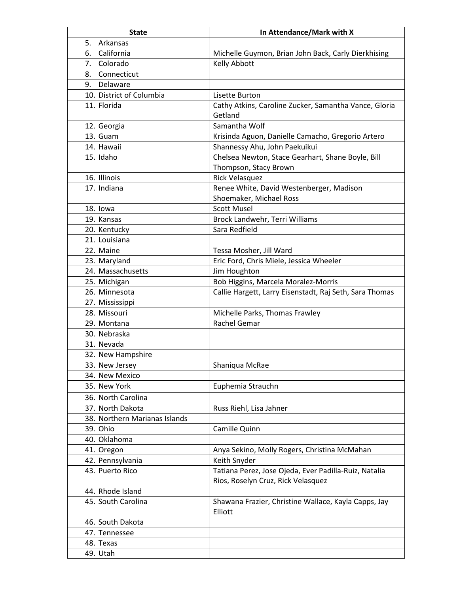| <b>State</b>                    | In Attendance/Mark with X                                                                      |
|---------------------------------|------------------------------------------------------------------------------------------------|
| Arkansas<br>5.                  |                                                                                                |
| California<br>6.                | Michelle Guymon, Brian John Back, Carly Dierkhising                                            |
| 7.<br>Colorado                  | Kelly Abbott                                                                                   |
| Connecticut<br>8.               |                                                                                                |
| 9. Delaware                     |                                                                                                |
| 10. District of Columbia        | Lisette Burton                                                                                 |
| 11. Florida                     | Cathy Atkins, Caroline Zucker, Samantha Vance, Gloria                                          |
|                                 | Getland                                                                                        |
| 12. Georgia                     | Samantha Wolf                                                                                  |
| 13. Guam                        | Krisinda Aguon, Danielle Camacho, Gregorio Artero                                              |
| 14. Hawaii                      | Shannessy Ahu, John Paekuikui                                                                  |
| 15. Idaho                       | Chelsea Newton, Stace Gearhart, Shane Boyle, Bill                                              |
|                                 | Thompson, Stacy Brown                                                                          |
| 16. Illinois                    | <b>Rick Velasquez</b>                                                                          |
| 17. Indiana                     | Renee White, David Westenberger, Madison                                                       |
|                                 | Shoemaker, Michael Ross                                                                        |
| 18. Iowa                        | <b>Scott Musel</b>                                                                             |
| 19. Kansas                      | Brock Landwehr, Terri Williams                                                                 |
| 20. Kentucky                    | Sara Redfield                                                                                  |
| 21. Louisiana                   |                                                                                                |
| 22. Maine                       | Tessa Mosher, Jill Ward                                                                        |
| 23. Maryland                    | Eric Ford, Chris Miele, Jessica Wheeler                                                        |
| 24. Massachusetts               | Jim Houghton                                                                                   |
|                                 |                                                                                                |
| 25. Michigan<br>26. Minnesota   | Bob Higgins, Marcela Moralez-Morris<br>Callie Hargett, Larry Eisenstadt, Raj Seth, Sara Thomas |
|                                 |                                                                                                |
| 27. Mississippi<br>28. Missouri | Michelle Parks, Thomas Frawley                                                                 |
| 29. Montana                     | Rachel Gemar                                                                                   |
| 30. Nebraska                    |                                                                                                |
| 31. Nevada                      |                                                                                                |
|                                 |                                                                                                |
| 32. New Hampshire               | Shaniqua McRae                                                                                 |
| 33. New Jersey                  |                                                                                                |
| 34. New Mexico                  |                                                                                                |
| 35. New York                    | Euphemia Strauchn                                                                              |
| 36. North Carolina              |                                                                                                |
| 37. North Dakota                | Russ Riehl, Lisa Jahner                                                                        |
| 38. Northern Marianas Islands   |                                                                                                |
| 39. Ohio                        | Camille Quinn                                                                                  |
| 40. Oklahoma                    |                                                                                                |
| 41. Oregon                      | Anya Sekino, Molly Rogers, Christina McMahan                                                   |
| 42. Pennsylvania                | Keith Snyder                                                                                   |
| 43. Puerto Rico                 | Tatiana Perez, Jose Ojeda, Ever Padilla-Ruiz, Natalia                                          |
|                                 | Rios, Roselyn Cruz, Rick Velasquez                                                             |
| 44. Rhode Island                |                                                                                                |
| 45. South Carolina              | Shawana Frazier, Christine Wallace, Kayla Capps, Jay<br>Elliott                                |
| 46. South Dakota                |                                                                                                |
| 47. Tennessee                   |                                                                                                |
| 48. Texas                       |                                                                                                |
| 49. Utah                        |                                                                                                |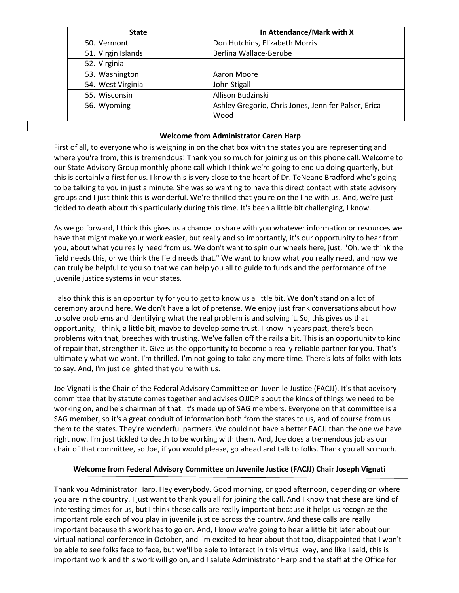| <b>State</b>       | In Attendance/Mark with X                            |
|--------------------|------------------------------------------------------|
| 50. Vermont        | Don Hutchins, Elizabeth Morris                       |
| 51. Virgin Islands | Berlina Wallace-Berube                               |
| 52. Virginia       |                                                      |
| 53. Washington     | Aaron Moore                                          |
| 54. West Virginia  | John Stigall                                         |
| 55. Wisconsin      | Allison Budzinski                                    |
| 56. Wyoming        | Ashley Gregorio, Chris Jones, Jennifer Palser, Erica |
|                    | Wood                                                 |

### **Welcome from Administrator Caren Harp**

First of all, to everyone who is weighing in on the chat box with the states you are representing and where you're from, this is tremendous! Thank you so much for joining us on this phone call. Welcome to our State Advisory Group monthly phone call which I think we're going to end up doing quarterly, but this is certainly a first for us. I know this is very close to the heart of Dr. TeNeane Bradford who's going to be talking to you in just a minute. She was so wanting to have this direct contact with state advisory groups and I just think this is wonderful. We're thrilled that you're on the line with us. And, we're just tickled to death about this particularly during this time. It's been a little bit challenging, I know.

As we go forward, I think this gives us a chance to share with you whatever information or resources we have that might make your work easier, but really and so importantly, it's our opportunity to hear from you, about what you really need from us. We don't want to spin our wheels here, just, "Oh, we think the field needs this, or we think the field needs that." We want to know what you really need, and how we can truly be helpful to you so that we can help you all to guide to funds and the performance of the juvenile justice systems in your states.

I also think this is an opportunity for you to get to know us a little bit. We don't stand on a lot of ceremony around here. We don't have a lot of pretense. We enjoy just frank conversations about how to solve problems and identifying what the real problem is and solving it. So, this gives us that opportunity, I think, a little bit, maybe to develop some trust. I know in years past, there's been problems with that, breeches with trusting. We've fallen off the rails a bit. This is an opportunity to kind of repair that, strengthen it. Give us the opportunity to become a really reliable partner for you. That's ultimately what we want. I'm thrilled. I'm not going to take any more time. There's lots of folks with lots to say. And, I'm just delighted that you're with us.

Joe Vignati is the Chair of the Federal Advisory Committee on Juvenile Justice (FACJJ). It's that advisory committee that by statute comes together and advises OJJDP about the kinds of things we need to be working on, and he's chairman of that. It's made up of SAG members. Everyone on that committee is a SAG member, so it's a great conduit of information both from the states to us, and of course from us them to the states. They're wonderful partners. We could not have a better FACJJ than the one we have right now. I'm just tickled to death to be working with them. And, Joe does a tremendous job as our chair of that committee, so Joe, if you would please, go ahead and talk to folks. Thank you all so much.

# **Welcome from Federal Advisory Committee on Juvenile Justice (FACJJ) Chair Joseph Vignati**

Thank you Administrator Harp. Hey everybody. Good morning, or good afternoon, depending on where you are in the country. I just want to thank you all for joining the call. And I know that these are kind of interesting times for us, but I think these calls are really important because it helps us recognize the important role each of you play in juvenile justice across the country. And these calls are really important because this work has to go on. And, I know we're going to hear a little bit later about our virtual national conference in October, and I'm excited to hear about that too, disappointed that I won't be able to see folks face to face, but we'll be able to interact in this virtual way, and like I said, this is important work and this work will go on, and I salute Administrator Harp and the staff at the Office for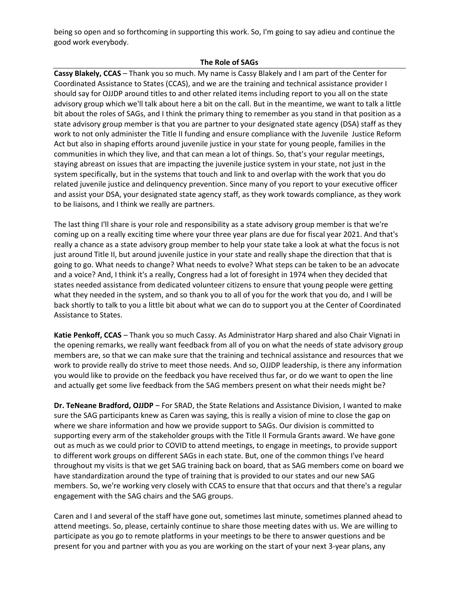being so open and so forthcoming in supporting this work. So, I'm going to say adieu and continue the good work everybody.

### **The Role of SAGs**

**Cassy Blakely, CCAS** – Thank you so much. My name is Cassy Blakely and I am part of the Center for Coordinated Assistance to States (CCAS), and we are the training and technical assistance provider I should say for OJJDP around titles to and other related items including report to you all on the state advisory group which we'll talk about here a bit on the call. But in the meantime, we want to talk a little bit about the roles of SAGs, and I think the primary thing to remember as you stand in that position as a state advisory group member is that you are partner to your designated state agency (DSA) staff as they work to not only administer the Title II funding and ensure compliance with the Juvenile Justice Reform Act but also in shaping efforts around juvenile justice in your state for young people, families in the communities in which they live, and that can mean a lot of things. So, that's your regular meetings, staying abreast on issues that are impacting the juvenile justice system in your state, not just in the system specifically, but in the systems that touch and link to and overlap with the work that you do related juvenile justice and delinquency prevention. Since many of you report to your executive officer and assist your DSA, your designated state agency staff, as they work towards compliance, as they work to be liaisons, and I think we really are partners.

The last thing I'll share is your role and responsibility as a state advisory group member is that we're coming up on a really exciting time where your three year plans are due for fiscal year 2021. And that's really a chance as a state advisory group member to help your state take a look at what the focus is not just around Title II, but around juvenile justice in your state and really shape the direction that that is going to go. What needs to change? What needs to evolve? What steps can be taken to be an advocate and a voice? And, I think it's a really, Congress had a lot of foresight in 1974 when they decided that states needed assistance from dedicated volunteer citizens to ensure that young people were getting what they needed in the system, and so thank you to all of you for the work that you do, and I will be back shortly to talk to you a little bit about what we can do to support you at the Center of Coordinated Assistance to States.

**Katie Penkoff, CCAS** – Thank you so much Cassy. As Administrator Harp shared and also Chair Vignati in the opening remarks, we really want feedback from all of you on what the needs of state advisory group members are, so that we can make sure that the training and technical assistance and resources that we work to provide really do strive to meet those needs. And so, OJJDP leadership, is there any information you would like to provide on the feedback you have received thus far, or do we want to open the line and actually get some live feedback from the SAG members present on what their needs might be?

**Dr. TeNeane Bradford, OJJDP** – For SRAD, the State Relations and Assistance Division, I wanted to make sure the SAG participants knew as Caren was saying, this is really a vision of mine to close the gap on where we share information and how we provide support to SAGs. Our division is committed to supporting every arm of the stakeholder groups with the Title II Formula Grants award. We have gone out as much as we could prior to COVID to attend meetings, to engage in meetings, to provide support to different work groups on different SAGs in each state. But, one of the common things I've heard throughout my visits is that we get SAG training back on board, that as SAG members come on board we have standardization around the type of training that is provided to our states and our new SAG members. So, we're working very closely with CCAS to ensure that that occurs and that there's a regular engagement with the SAG chairs and the SAG groups.

Caren and I and several of the staff have gone out, sometimes last minute, sometimes planned ahead to attend meetings. So, please, certainly continue to share those meeting dates with us. We are willing to participate as you go to remote platforms in your meetings to be there to answer questions and be present for you and partner with you as you are working on the start of your next 3-year plans, any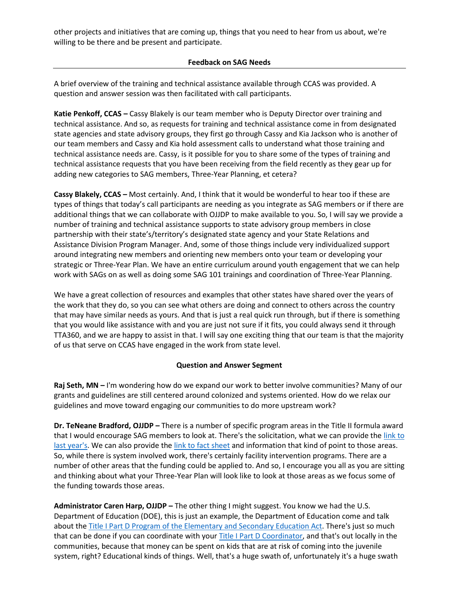other projects and initiatives that are coming up, things that you need to hear from us about, we're willing to be there and be present and participate.

### **Feedback on SAG Needs**

A brief overview of the training and technical assistance available through CCAS was provided. A question and answer session was then facilitated with call participants.

**Katie Penkoff, CCAS –** Cassy Blakely is our team member who is Deputy Director over training and technical assistance. And so, as requests for training and technical assistance come in from designated state agencies and state advisory groups, they first go through Cassy and Kia Jackson who is another of our team members and Cassy and Kia hold assessment calls to understand what those training and technical assistance needs are. Cassy, is it possible for you to share some of the types of training and technical assistance requests that you have been receiving from the field recently as they gear up for adding new categories to SAG members, Three-Year Planning, et cetera?

**Cassy Blakely, CCAS –** Most certainly. And, I think that it would be wonderful to hear too if these are types of things that today's call participants are needing as you integrate as SAG members or if there are additional things that we can collaborate with OJJDP to make available to you. So, I will say we provide a number of training and technical assistance supports to state advisory group members in close partnership with their state's/territory's designated state agency and your State Relations and Assistance Division Program Manager. And, some of those things include very individualized support around integrating new members and orienting new members onto your team or developing your strategic or Three-Year Plan. We have an entire curriculum around youth engagement that we can help work with SAGs on as well as doing some SAG 101 trainings and coordination of Three-Year Planning.

We have a great collection of resources and examples that other states have shared over the years of the work that they do, so you can see what others are doing and connect to others across the country that may have similar needs as yours. And that is just a real quick run through, but if there is something that you would like assistance with and you are just not sure if it fits, you could always send it through TTA360, and we are happy to assist in that. I will say one exciting thing that our team is that the majority of us that serve on CCAS have engaged in the work from state level.

# **Question and Answer Segment**

**Raj Seth, MN –** I'm wondering how do we expand our work to better involve communities? Many of our grants and guidelines are still centered around colonized and systems oriented. How do we relax our guidelines and move toward engaging our communities to do more upstream work?

**Dr. TeNeane Bradford, OJJDP –** There is a number of specific program areas in the Title II formula award that I would encourage SAG members to look at. There's the solicitation, what we can provide th[e link](https://ojjdp.ojp.gov/funding/FY20-Title-II-Solicitation-Files) to [last year's.](https://ojjdp.ojp.gov/funding/FY20-Title-II-Solicitation-Files) We can also provide the [link to fact sheet](https://ojjdp.ojp.gov/sites/g/files/xyckuh176/files/pubs/252961.pdf) and information that kind of point to those areas. So, while there is system involved work, there's certainly facility intervention programs. There are a number of other areas that the funding could be applied to. And so, I encourage you all as you are sitting and thinking about what your Three-Year Plan will look like to look at those areas as we focus some of the funding towards those areas.

**Administrator Caren Harp, OJJDP –** The other thing I might suggest. You know we had the U.S. Department of Education (DOE), this is just an example, the Department of Education come and talk about the [Title I Part D Program of the Elementary](https://neglected-delinquent.ed.gov/what-title-i-part-d) and Secondary Education Act. There's just so much that can be done if you can coordinate with your [Title I Part D Coordinator,](https://neglected-delinquent.ed.gov/state-information) and that's out locally in the communities, because that money can be spent on kids that are at risk of coming into the juvenile system, right? Educational kinds of things. Well, that's a huge swath of, unfortunately it's a huge swath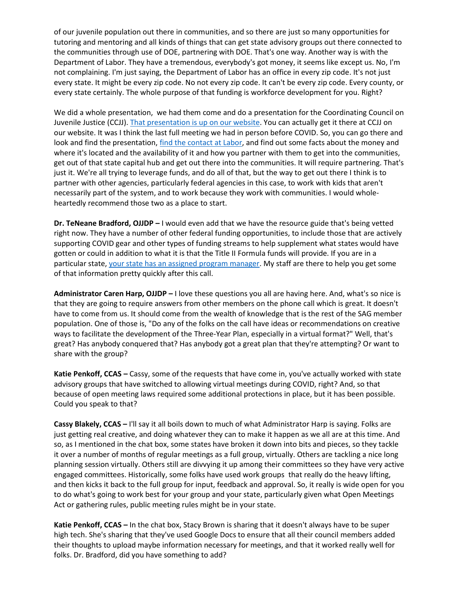of our juvenile population out there in communities, and so there are just so many opportunities for tutoring and mentoring and all kinds of things that can get state advisory groups out there connected to the communities through use of DOE, partnering with DOE. That's one way. Another way is with the Department of Labor. They have a tremendous, everybody's got money, it seems like except us. No, I'm not complaining. I'm just saying, the Department of Labor has an office in every zip code. It's not just every state. It might be every zip code. No not every zip code. It can't be every zip code. Every county, or every state certainly. The whole purpose of that funding is workforce development for you. Right?

We did a whole presentation, we had them come and do a presentation for the Coordinating Council on Juvenile Justice (CCJJ)[. That presentation is up on our website.](https://juvenilecouncil.ojp.gov/meeting/tuesday-december-10-2019-meeting) You can actually get it there at CCJJ on our website. It was I think the last full meeting we had in person before COVID. So, you can go there and look and find the presentation, [find the contact at Labor,](https://www.workforcegps.org/) and find out some facts about the money and where it's located and the availability of it and how you partner with them to get into the communities, get out of that state capital hub and get out there into the communities. It will require partnering. That's just it. We're all trying to leverage funds, and do all of that, but the way to get out there I think is to partner with other agencies, particularly federal agencies in this case, to work with kids that aren't necessarily part of the system, and to work because they work with communities. I would wholeheartedly recommend those two as a place to start.

**Dr. TeNeane Bradford, OJJDP –** I would even add that we have the resource guide that's being vetted right now. They have a number of other federal funding opportunities, to include those that are actively supporting COVID gear and other types of funding streams to help supplement what states would have gotten or could in addition to what it is that the Title II Formula funds will provide. If you are in a particular state, [your state has an assigned program manager.](https://ojjdp.ojp.gov/states) My staff are there to help you get some of that information pretty quickly after this call.

**Administrator Caren Harp, OJJDP –** I love these questions you all are having here. And, what's so nice is that they are going to require answers from other members on the phone call which is great. It doesn't have to come from us. It should come from the wealth of knowledge that is the rest of the SAG member population. One of those is, "Do any of the folks on the call have ideas or recommendations on creative ways to facilitate the development of the Three-Year Plan, especially in a virtual format?" Well, that's great? Has anybody conquered that? Has anybody got a great plan that they're attempting? Or want to share with the group?

**Katie Penkoff, CCAS –** Cassy, some of the requests that have come in, you've actually worked with state advisory groups that have switched to allowing virtual meetings during COVID, right? And, so that because of open meeting laws required some additional protections in place, but it has been possible. Could you speak to that?

**Cassy Blakely, CCAS –** I'll say it all boils down to much of what Administrator Harp is saying. Folks are just getting real creative, and doing whatever they can to make it happen as we all are at this time. And so, as I mentioned in the chat box, some states have broken it down into bits and pieces, so they tackle it over a number of months of regular meetings as a full group, virtually. Others are tackling a nice long planning session virtually. Others still are divvying it up among their committees so they have very active engaged committees. Historically, some folks have used work groups that really do the heavy lifting, and then kicks it back to the full group for input, feedback and approval. So, it really is wide open for you to do what's going to work best for your group and your state, particularly given what Open Meetings Act or gathering rules, public meeting rules might be in your state.

**Katie Penkoff, CCAS –** In the chat box, Stacy Brown is sharing that it doesn't always have to be super high tech. She's sharing that they've used Google Docs to ensure that all their council members added their thoughts to upload maybe information necessary for meetings, and that it worked really well for folks. Dr. Bradford, did you have something to add?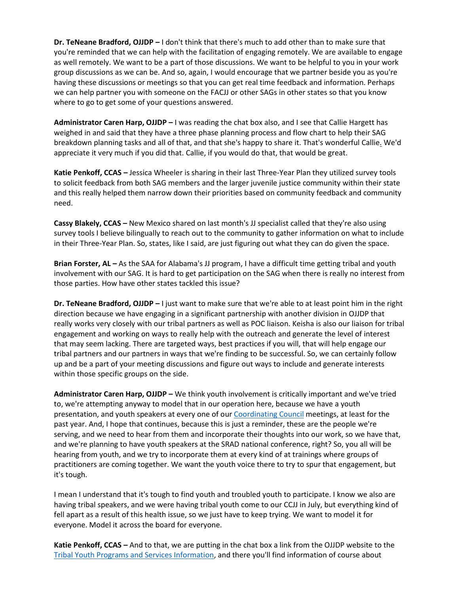**Dr. TeNeane Bradford, OJJDP –** I don't think that there's much to add other than to make sure that you're reminded that we can help with the facilitation of engaging remotely. We are available to engage as well remotely. We want to be a part of those discussions. We want to be helpful to you in your work group discussions as we can be. And so, again, I would encourage that we partner beside you as you're having these discussions or meetings so that you can get real time feedback and information. Perhaps we can help partner you with someone on the FACJJ or other SAGs in other states so that you know where to go to get some of your questions answered.

**Administrator Caren Harp, OJJDP –** I was reading the chat box also, and I see that Callie Hargett has weighed in and said that they have a three phase planning process and flow chart to help their SAG breakdown planning tasks and all of that, and that she's happy to share it. That's wonderful Callie. We'd appreciate it very much if you did that. Callie, if you would do that, that would be great.

**Katie Penkoff, CCAS –** Jessica Wheeler is sharing in their last Three-Year Plan they utilized survey tools to solicit feedback from both SAG members and the larger juvenile justice community within their state and this really helped them narrow down their priorities based on community feedback and community need.

**Cassy Blakely, CCAS –** New Mexico shared on last month's JJ specialist called that they're also using survey tools I believe bilingually to reach out to the community to gather information on what to include in their Three-Year Plan. So, states, like I said, are just figuring out what they can do given the space.

**Brian Forster, AL –** As the SAA for Alabama's JJ program, I have a difficult time getting tribal and youth involvement with our SAG. It is hard to get participation on the SAG when there is really no interest from those parties. How have other states tackled this issue?

**Dr. TeNeane Bradford, OJJDP –** I just want to make sure that we're able to at least point him in the right direction because we have engaging in a significant partnership with another division in OJJDP that really works very closely with our tribal partners as well as POC liaison. Keisha is also our liaison for tribal engagement and working on ways to really help with the outreach and generate the level of interest that may seem lacking. There are targeted ways, best practices if you will, that will help engage our tribal partners and our partners in ways that we're finding to be successful. So, we can certainly follow up and be a part of your meeting discussions and figure out ways to include and generate interests within those specific groups on the side.

**Administrator Caren Harp, OJJDP –** We think youth involvement is critically important and we've tried to, we're attempting anyway to model that in our operation here, because we have a youth presentation, and youth speakers at every one of our [Coordinating Council](https://juvenilecouncil.ojp.gov/) meetings, at least for the past year. And, I hope that continues, because this is just a reminder, these are the people we're serving, and we need to hear from them and incorporate their thoughts into our work, so we have that, and we're planning to have youth speakers at the SRAD national conference, right? So, you all will be hearing from youth, and we try to incorporate them at every kind of at trainings where groups of practitioners are coming together. We want the youth voice there to try to spur that engagement, but it's tough.

I mean I understand that it's tough to find youth and troubled youth to participate. I know we also are having tribal speakers, and we were having tribal youth come to our CCJJ in July, but everything kind of fell apart as a result of this health issue, so we just have to keep trying. We want to model it for everyone. Model it across the board for everyone.

**Katie Penkoff, CCAS –** And to that, we are putting in the chat box a link from the OJJDP website to the [Tribal Youth Programs and Services Information,](https://ojjdp.ojp.gov/programs/tribal-youth-programs-and-services) and there you'll find information of course about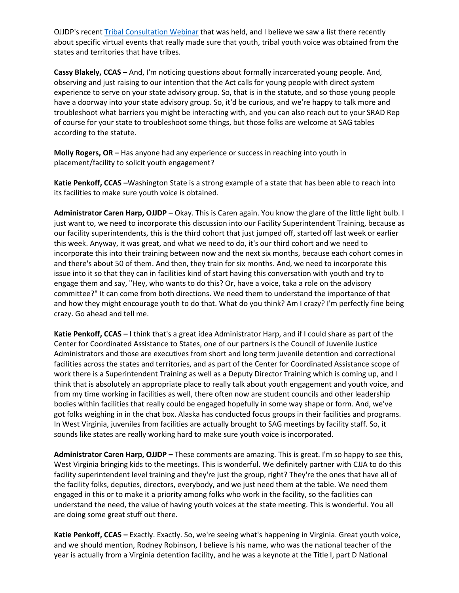OJJDP's recent **Tribal Consultation Webinar that was held**, and I believe we saw a list there recently about specific virtual events that really made sure that youth, tribal youth voice was obtained from the states and territories that have tribes.

**Cassy Blakely, CCAS –** And, I'm noticing questions about formally incarcerated young people. And, observing and just raising to our intention that the Act calls for young people with direct system experience to serve on your state advisory group. So, that is in the statute, and so those young people have a doorway into your state advisory group. So, it'd be curious, and we're happy to talk more and troubleshoot what barriers you might be interacting with, and you can also reach out to your SRAD Rep of course for your state to troubleshoot some things, but those folks are welcome at SAG tables according to the statute.

**Molly Rogers, OR –** Has anyone had any experience or success in reaching into youth in placement/facility to solicit youth engagement?

**Katie Penkoff, CCAS –**Washington State is a strong example of a state that has been able to reach into its facilities to make sure youth voice is obtained.

**Administrator Caren Harp, OJJDP –** Okay. This is Caren again. You know the glare of the little light bulb. I just want to, we need to incorporate this discussion into our Facility Superintendent Training, because as our facility superintendents, this is the third cohort that just jumped off, started off last week or earlier this week. Anyway, it was great, and what we need to do, it's our third cohort and we need to incorporate this into their training between now and the next six months, because each cohort comes in and there's about 50 of them. And then, they train for six months. And, we need to incorporate this issue into it so that they can in facilities kind of start having this conversation with youth and try to engage them and say, "Hey, who wants to do this? Or, have a voice, taka a role on the advisory committee?" It can come from both directions. We need them to understand the importance of that and how they might encourage youth to do that. What do you think? Am I crazy? I'm perfectly fine being crazy. Go ahead and tell me.

**Katie Penkoff, CCAS –** I think that's a great idea Administrator Harp, and if I could share as part of the Center for Coordinated Assistance to States, one of our partners is the Council of Juvenile Justice Administrators and those are executives from short and long term juvenile detention and correctional facilities across the states and territories, and as part of the Center for Coordinated Assistance scope of work there is a Superintendent Training as well as a Deputy Director Training which is coming up, and I think that is absolutely an appropriate place to really talk about youth engagement and youth voice, and from my time working in facilities as well, there often now are student councils and other leadership bodies within facilities that really could be engaged hopefully in some way shape or form. And, we've got folks weighing in in the chat box. Alaska has conducted focus groups in their facilities and programs. In West Virginia, juveniles from facilities are actually brought to SAG meetings by facility staff. So, it sounds like states are really working hard to make sure youth voice is incorporated.

**Administrator Caren Harp, OJJDP –** These comments are amazing. This is great. I'm so happy to see this, West Virginia bringing kids to the meetings. This is wonderful. We definitely partner with CJJA to do this facility superintendent level training and they're just the group, right? They're the ones that have all of the facility folks, deputies, directors, everybody, and we just need them at the table. We need them engaged in this or to make it a priority among folks who work in the facility, so the facilities can understand the need, the value of having youth voices at the state meeting. This is wonderful. You all are doing some great stuff out there.

**Katie Penkoff, CCAS –** Exactly. Exactly. So, we're seeing what's happening in Virginia. Great youth voice, and we should mention, Rodney Robinson, I believe is his name, who was the national teacher of the year is actually from a Virginia detention facility, and he was a keynote at the Title I, part D National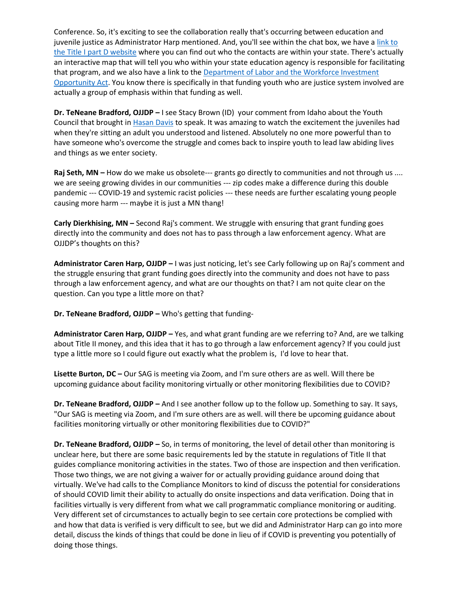Conference. So, it's exciting to see the collaboration really that's occurring between education and juvenile justice as Administrator Harp mentioned. And, you'll see within the chat box, we have a [link to](https://www.neglected-delinquent.org/state-information/)  [the Title I part D website](https://www.neglected-delinquent.org/state-information/) where you can find out who the contacts are within your state. There's actually an interactive map that will tell you who within your state education agency is responsible for facilitating that program, and we also have a link to th[e Department of Labor and the Workforce Investment](https://www.dol.gov/agencies/eta/wioa)  [Opportunity Act.](https://www.dol.gov/agencies/eta/wioa) You know there is specifically in that funding youth who are justice system involved are actually a group of emphasis within that funding as well.

**Dr. TeNeane Bradford, OJJDP –** I see Stacy Brown (ID) your comment from Idaho about the Youth Council that brought i[n Hasan](https://hasandavis.com/) Davis to speak. It was amazing to watch the excitement the juveniles had when they're sitting an adult you understood and listened. Absolutely no one more powerful than to have someone who's overcome the struggle and comes back to inspire youth to lead law abiding lives and things as we enter society.

Raj Seth, MN – How do we make us obsolete--- grants go directly to communities and not through us .... we are seeing growing divides in our communities --- zip codes make a difference during this double pandemic --- COVID-19 and systemic racist policies --- these needs are further escalating young people causing more harm --- maybe it is just a MN thang!

**Carly Dierkhising, MN –** Second Raj's comment. We struggle with ensuring that grant funding goes directly into the community and does not has to pass through a law enforcement agency. What are OJJDP's thoughts on this?

**Administrator Caren Harp, OJJDP –** I was just noticing, let's see Carly following up on Raj's comment and the struggle ensuring that grant funding goes directly into the community and does not have to pass through a law enforcement agency, and what are our thoughts on that? I am not quite clear on the question. Can you type a little more on that?

**Dr. TeNeane Bradford, OJJDP –** Who's getting that funding-

**Administrator Caren Harp, OJJDP –** Yes, and what grant funding are we referring to? And, are we talking about Title II money, and this idea that it has to go through a law enforcement agency? If you could just type a little more so I could figure out exactly what the problem is, I'd love to hear that.

**Lisette Burton, DC –** Our SAG is meeting via Zoom, and I'm sure others are as well. Will there be upcoming guidance about facility monitoring virtually or other monitoring flexibilities due to COVID?

**Dr. TeNeane Bradford, OJJDP –** And I see another follow up to the follow up. Something to say. It says, "Our SAG is meeting via Zoom, and I'm sure others are as well. will there be upcoming guidance about facilities monitoring virtually or other monitoring flexibilities due to COVID?"

**Dr. TeNeane Bradford, OJJDP –** So, in terms of monitoring, the level of detail other than monitoring is unclear here, but there are some basic requirements led by the statute in regulations of Title II that guides compliance monitoring activities in the states. Two of those are inspection and then verification. Those two things, we are not giving a waiver for or actually providing guidance around doing that virtually. We've had calls to the Compliance Monitors to kind of discuss the potential for considerations of should COVID limit their ability to actually do onsite inspections and data verification. Doing that in facilities virtually is very different from what we call programmatic compliance monitoring or auditing. Very different set of circumstances to actually begin to see certain core protections be complied with and how that data is verified is very difficult to see, but we did and Administrator Harp can go into more detail, discuss the kinds of things that could be done in lieu of if COVID is preventing you potentially of doing those things.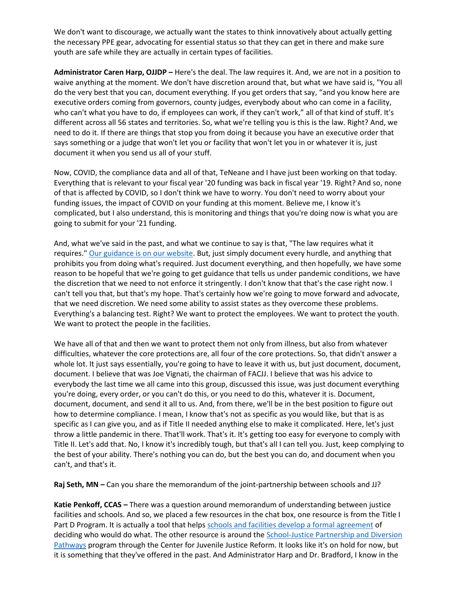We don't want to discourage, we actually want the states to think innovatively about actually getting the necessary PPE gear, advocating for essential status so that they can get in there and make sure youth are safe while they are actually in certain types of facilities.

**Administrator Caren Harp, OJJDP –** Here's the deal. The law requires it. And, we are not in a position to waive anything at the moment. We don't have discretion around that, but what we have said is, "You all do the very best that you can, document everything. If you get orders that say, "and you know here are executive orders coming from governors, county judges, everybody about who can come in a facility, who can't what you have to do, if employees can work, if they can't work," all of that kind of stuff. It's different across all 56 states and territories. So, what we're telling you is this is the law. Right? And, we need to do it. If there are things that stop you from doing it because you have an executive order that says something or a judge that won't let you or facility that won't let you in or whatever it is, just document it when you send us all of your stuff.

Now, COVID, the compliance data and all of that, TeNeane and I have just been working on that today. Everything that is relevant to your fiscal year '20 funding was back in fiscal year '19. Right? And so, none of that is affected by COVID, so I don't think we have to worry. You don't need to worry about your funding issues, the impact of COVID on your funding at this moment. Believe me, I know it's complicated, but I also understand, this is monitoring and things that you're doing now is what you are going to submit for your '21 funding.

And, what we've said in the past, and what we continue to say is that, "The law requires what it requires.[" Our guidance is on our website.](https://ojjdp.ojp.gov/sites/g/files/xyckuh176/files/media/document/OJJDP-COVID-19-Guidance-for-States.pdf) But, just simply document every hurdle, and anything that prohibits you from doing what's required. Just document everything, and then hopefully, we have some reason to be hopeful that we're going to get guidance that tells us under pandemic conditions, we have the discretion that we need to not enforce it stringently. I don't know that that's the case right now. I can't tell you that, but that's my hope. That's certainly how we're going to move forward and advocate, that we need discretion. We need some ability to assist states as they overcome these problems. Everything's a balancing test. Right? We want to protect the employees. We want to protect the youth. We want to protect the people in the facilities.

We have all of that and then we want to protect them not only from illness, but also from whatever difficulties, whatever the core protections are, all four of the core protections. So, that didn't answer a whole lot. It just says essentially, you're going to have to leave it with us, but just document, document, document. I believe that was Joe Vignati, the chairman of FACJJ. I believe that was his advice to everybody the last time we all came into this group, discussed this issue, was just document everything you're doing, every order, or you can't do this, or you need to do this, whatever it is. Document, document, document, and send it all to us. And, from there, we'll be in the best position to figure out how to determine compliance. I mean, I know that's not as specific as you would like, but that is as specific as I can give you, and as if Title II needed anything else to make it complicated. Here, let's just throw a little pandemic in there. That'll work. That's it. It's getting too easy for everyone to comply with Title II. Let's add that. No, I know it's incredibly tough, but that's all I can tell you. Just, keep complying to the best of your ability. There's nothing you can do, but the best you can do, and document when you can't, and that's it.

**Raj Seth, MN –** Can you share the memorandum of the joint-partnership between schools and JJ?

**Katie Penkoff, CCAS –** There was a question around memorandum of understanding between justice facilities and schools. And so, we placed a few resources in the chat box, one resource is from the Title I Part D Program. It is actually a tool that help[s schools and facilities develop a formal agreement](https://neglected-delinquent.ed.gov/resources/title-i-part-d-program-administration-planning-toolkit) of deciding who would do what. The other resource is around the School-Justice [Partnership and](https://cjjr.georgetown.edu/certificate-programs/school-justice/) Diversion [Pathways](https://cjjr.georgetown.edu/certificate-programs/school-justice/) program through the Center for Juvenile Justice Reform. It looks like it's on hold for now, but it is something that they've offered in the past. And Administrator Harp and Dr. Bradford, I know in the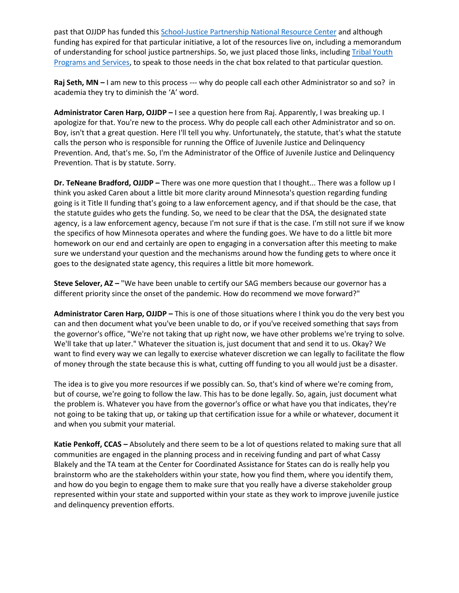past that OJJDP has funded thi[s School-Justice Partnership National Resource Center](https://schooljusticepartnership.org/) and although funding has expired for that particular initiative, a lot of the resources live on, including a memorandum of understanding for school justice partnerships. So, we just placed those links, including Tribal Youth [Programs and Services,](https://ojjdp.ojp.gov/programs/tribal-youth-programs-and-services) to speak to those needs in the chat box related to that particular question.

**Raj Seth, MN –** I am new to this process --- why do people call each other Administrator so and so? in academia they try to diminish the 'A' word.

**Administrator Caren Harp, OJJDP –** I see a question here from Raj. Apparently, I was breaking up. I apologize for that. You're new to the process. Why do people call each other Administrator and so on. Boy, isn't that a great question. Here I'll tell you why. Unfortunately, the statute, that's what the statute calls the person who is responsible for running the Office of Juvenile Justice and Delinquency Prevention. And, that's me. So, I'm the Administrator of the Office of Juvenile Justice and Delinquency Prevention. That is by statute. Sorry.

**Dr. TeNeane Bradford, OJJDP –** There was one more question that I thought... There was a follow up I think you asked Caren about a little bit more clarity around Minnesota's question regarding funding going is it Title II funding that's going to a law enforcement agency, and if that should be the case, that the statute guides who gets the funding. So, we need to be clear that the DSA, the designated state agency, is a law enforcement agency, because I'm not sure if that is the case. I'm still not sure if we know the specifics of how Minnesota operates and where the funding goes. We have to do a little bit more homework on our end and certainly are open to engaging in a conversation after this meeting to make sure we understand your question and the mechanisms around how the funding gets to where once it goes to the designated state agency, this requires a little bit more homework.

**Steve Selover, AZ –** "We have been unable to certify our SAG members because our governor has a different priority since the onset of the pandemic. How do recommend we move forward?"

**Administrator Caren Harp, OJJDP –** This is one of those situations where I think you do the very best you can and then document what you've been unable to do, or if you've received something that says from the governor's office, "We're not taking that up right now, we have other problems we're trying to solve. We'll take that up later." Whatever the situation is, just document that and send it to us. Okay? We want to find every way we can legally to exercise whatever discretion we can legally to facilitate the flow of money through the state because this is what, cutting off funding to you all would just be a disaster.

The idea is to give you more resources if we possibly can. So, that's kind of where we're coming from, but of course, we're going to follow the law. This has to be done legally. So, again, just document what the problem is. Whatever you have from the governor's office or what have you that indicates, they're not going to be taking that up, or taking up that certification issue for a while or whatever, document it and when you submit your material.

**Katie Penkoff, CCAS –** Absolutely and there seem to be a lot of questions related to making sure that all communities are engaged in the planning process and in receiving funding and part of what Cassy Blakely and the TA team at the Center for Coordinated Assistance for States can do is really help you brainstorm who are the stakeholders within your state, how you find them, where you identify them, and how do you begin to engage them to make sure that you really have a diverse stakeholder group represented within your state and supported within your state as they work to improve juvenile justice and delinquency prevention efforts.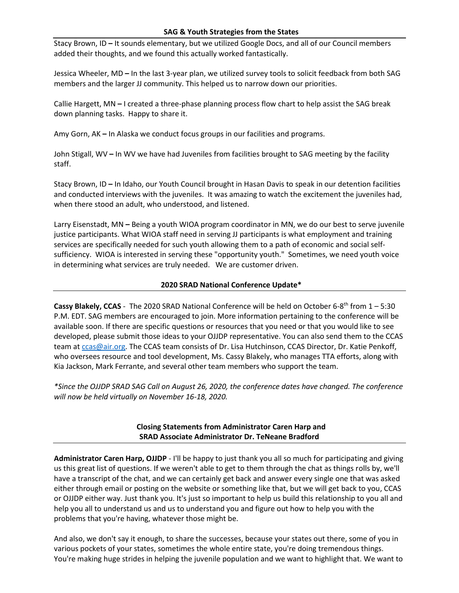### **SAG & Youth Strategies from the States**

Stacy Brown, ID **–** It sounds elementary, but we utilized Google Docs, and all of our Council members added their thoughts, and we found this actually worked fantastically.

Jessica Wheeler, MD **–** In the last 3-year plan, we utilized survey tools to solicit feedback from both SAG members and the larger JJ community. This helped us to narrow down our priorities.

Callie Hargett, MN **–** I created a three-phase planning process flow chart to help assist the SAG break down planning tasks. Happy to share it.

Amy Gorn, AK **–** In Alaska we conduct focus groups in our facilities and programs.

John Stigall, WV **–** In WV we have had Juveniles from facilities brought to SAG meeting by the facility staff.

Stacy Brown, ID **–** In Idaho, our Youth Council brought in Hasan Davis to speak in our detention facilities and conducted interviews with the juveniles. It was amazing to watch the excitement the juveniles had, when there stood an adult, who understood, and listened.

Larry Eisenstadt, MN **–** Being a youth WIOA program coordinator in MN, we do our best to serve juvenile justice participants. What WIOA staff need in serving JJ participants is what employment and training services are specifically needed for such youth allowing them to a path of economic and social selfsufficiency. WIOA is interested in serving these "opportunity youth." Sometimes, we need youth voice in determining what services are truly needed. We are customer driven.

### **2020 SRAD National Conference Update\***

Cassy Blakely, CCAS - The 2020 SRAD National Conference will be held on October 6-8<sup>th</sup> from 1 – 5:30 P.M. EDT. SAG members are encouraged to join. More information pertaining to the conference will be available soon. If there are specific questions or resources that you need or that you would like to see developed, please submit those ideas to your OJJDP representative. You can also send them to the CCAS team at [ccas@air.org.](mailto:ccas@air.org) The CCAS team consists of Dr. Lisa Hutchinson, CCAS Director, Dr. Katie Penkoff, who oversees resource and tool development, Ms. Cassy Blakely, who manages TTA efforts, along with Kia Jackson, Mark Ferrante, and several other team members who support the team.

*\*Since the OJJDP SRAD SAG Call on August 26, 2020, the conference dates have changed. The conference will now be held virtually on November 16-18, 2020.*

# **Closing Statements from Administrator Caren Harp and SRAD Associate Administrator Dr. TeNeane Bradford**

**Administrator Caren Harp, OJJDP** - I'll be happy to just thank you all so much for participating and giving us this great list of questions. If we weren't able to get to them through the chat as things rolls by, we'll have a transcript of the chat, and we can certainly get back and answer every single one that was asked either through email or posting on the website or something like that, but we will get back to you, CCAS or OJJDP either way. Just thank you. It's just so important to help us build this relationship to you all and help you all to understand us and us to understand you and figure out how to help you with the problems that you're having, whatever those might be.

And also, we don't say it enough, to share the successes, because your states out there, some of you in various pockets of your states, sometimes the whole entire state, you're doing tremendous things. You're making huge strides in helping the juvenile population and we want to highlight that. We want to